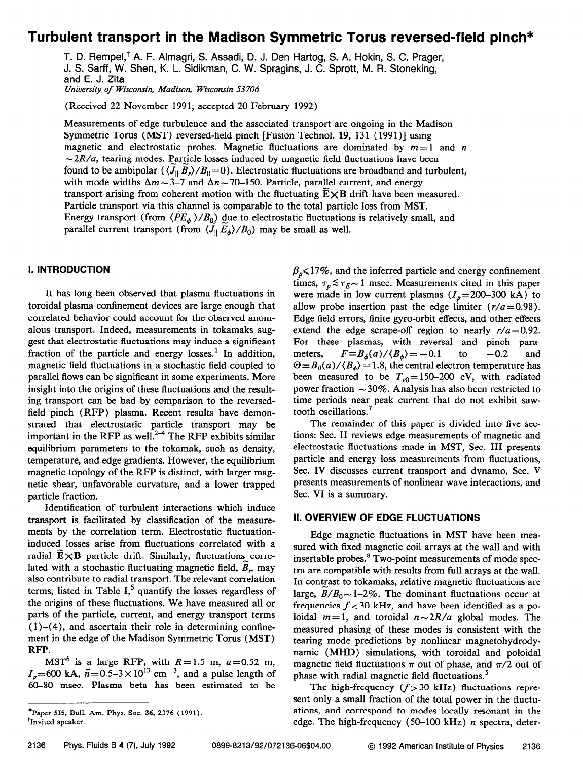# Turbulent transport in the Madison Symmetric Torus reversed-field pinch\*

T. D. Rempel,<sup>†</sup> A. F. Almagri, S. Assadi, D. J. Den Hartog, S. A. Hokin, S. C. Prager, J. S. Sarff, W. Shen, K. L. Sidikman, C. W. Spragins, J. C. Sprott, M. R. Stoneking, and E. J. Zita University of Wisconsin, Madison, Wisconsin 53 706

(Received 22 November 1991; accepted 20 February 1992)

Measurements of edge turbulence and the associated transport are ongoing in the Madison Symmetric Torus (MST) reversed-field pinch [Fusion Technol. 19, 131 (1991)] using magnetic and electrostatic probes. Magnetic fluctuations are dominated by  $m=1$  and n  $\sim$  2R/a, tearing modes. Particle losses induced by magnetic field fluctuations have been found to be ambipolar  $(\langle J_{\parallel} B_r \rangle / B_0 = 0)$ . Electrostatic fluctuations are broadband and turbulent, with mode widths  $\Delta m \sim 3-7$  and  $\Delta n \sim 70-150$ . Particle, parallel current, and energy transport arising from coherent motion with the fluctuating  $E \times B$  drift have been measured. Particle transport via this channel is comparable to the total particle loss from MST. Energy transport (from  $\langle PE_{\phi} \rangle/B_0$ ) due to electrostatic fluctuations is relatively small, and parallel current transport (from  $\langle J_{\parallel} E_{\phi} \rangle / B_0$ ) may be small as well.

## I. INTRODUCTION

It has long been observed that plasma fluctuations in toroidal plasma confinement devices are large enough that correlated behavior could account for the observed anomalous transport. Indeed, measurements in tokamaks suggest that electrostatic fluctuations may induce a significant fraction of the particle and energy losses.<sup>1</sup> In addition, magnetic field fluctuations in a stochastic field coupled to parallel flows can be significant in some experiments. More insight into the origins of these fluctuations and the resulting transport can be had by comparison to the reversedfield pinch (RFP) plasma. Recent results have demonstrated that electrostatic particle transport may be important in the RFP as well.<sup>2-4</sup> The RFP exhibits similar equilibrium parameters to the tokamak, such as density, temperature, and edge gradients. However, the equilibrium magnetic topology of the RFP is distinct, with larger magnetic shear, unfavorable curvature, and a lower trapped particle fraction.

Identification of turbulent interactions which induce transport is facilitated by classification of the measurements by the correlation term. Electrostatic fluctuationinduced losses arise from fluctuations correlated with a radial  $\mathbf{E} \times \mathbf{B}$  particle drift. Similarly, fluctuations correlated with a stochastic fluctuating magnetic field,  $B_n$ , may also contribute to radial transport. The relevant correlation terms, listed in Table  $I<sub>1</sub><sup>5</sup>$  quantify the losses regardless of the origins of these fluctuations. We have measured all or parts of the particle, current, and energy transport terms  $(1)-(4)$ , and ascertain their role in determining confinement in the edge of the Madison Symmetric Torus (MST) RFP.

MST<sup>6</sup> is a large RFP, with  $R=1.5$  m,  $a=0.52$  m,  $I_{\gamma}=600$  kA,  $\bar{n}=0.5-3\times10^{13}$  cm<sup>-3</sup>, and a pulse length of 60-80 msec. Plasma beta has been estimated to be

 $\beta_p \leq 17\%$ , and the inferred particle and energy confinement times,  $\tau_p \lesssim \tau_E \sim 1$  msec. Measurements cited in this paper were made in low current plasmas  $(I_p= 200-300 \text{ kA})$  to allow probe insertion past the edge limiter  $(r/a=0.98)$ . Edge field errors, finite gyro-orbit effects, and other effects extend the edge scrape-off region to nearly  $r/a = 0.92$ . For these plasmas, with reversal and pinch parameters,  $F \equiv B_{\phi}(a)/\langle B_{\phi} \rangle = -0.1$  to  $-0.2$  and  $\Theta = B_{\theta}(a)/\langle B_{\phi} \rangle = 1.8$ , the central electron temperature has been measured to be  $T_{e0}$ = 150-200 eV, with radiated power fraction  $\sim$  30%. Analysis has also been restricted to time periods near peak current that do not exhibit sawtooth oscillations.<sup>7</sup>

The remainder of this paper is divided into five sections: Sec. II reviews edge measurements of magnetic and electrostatic fluctuations made in MST, Sec. III presents particle and energy loss measurements from fluctuations, Sec. IV discusses current transport and dynamo, Sec. V presents measurements of nonlinear wave interactions, and Sec. VI is a summary.

## II. OVERVIEW OF EDGE FLUCTUATIONS

Edge magnetic fluctuations in MST have been measured with fixed magnetic coil arrays at the wall and with insertable probes.<sup>8</sup> Two-point measurements of mode spectra are compatible with results from full arrays at the wall. In contrast to tokamaks, relative magnetic fluctuations are large,  $B/B_0 \sim 1-2\%$ . The dominant fluctuations occur at frequencies  $f < 30$  kHz, and have been identified as a poloidal  $m=1$ , and toroidal  $n \sim 2R/a$  global modes. The measured phasing of these modes is consistent with the tearing mode predictions by nonlinear magnetohydrodynamic (MHD) simulations, with toroidal and poloidal magnetic field fluctuations  $\pi$  out of phase, and  $\pi/2$  out of phase with radial magnetic field fluctuations.<sup>5</sup>

The high-frequency  $(f > 30$  kHz) fluctuations represent only a small fraction of the total power in the fluctuations, and correspond to modes locally resonant in the edge. The high-frequency  $(50-100 \text{ kHz})$  *n* spectra, deter-

<sup>\*</sup>Paper 515, Bull. Am. Phys. Soc. 36, 2376 (1991). <sup>*t*</sup>Invited speaker.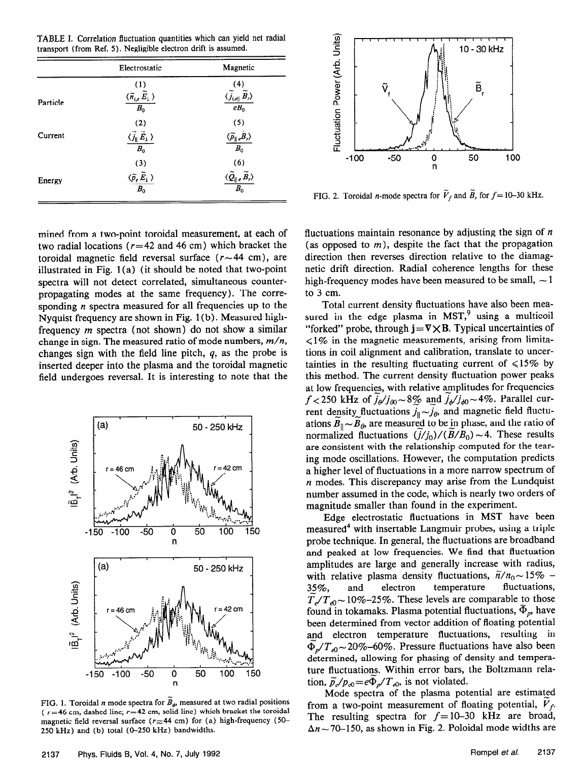TABLE I. Correlation fluctuation quantities which can yield net radial transport (from Ref. 5). Negligible electron drift is assumed.

|          | Electrostatic                                                        | Magnetic                                                                                                  |
|----------|----------------------------------------------------------------------|-----------------------------------------------------------------------------------------------------------|
|          | (1)                                                                  |                                                                                                           |
| Particle | $\frac{\langle \widetilde{n}_{i,e}\,\widetilde{E}_1 \,\rangle}{B_0}$ | (4)<br>$\langle \widetilde{j}_{i,e}   \widetilde{B}_r \rangle$<br>$eB_0$                                  |
|          | (2)                                                                  | (5)                                                                                                       |
| Current  | $\frac{\langle \widetilde{j}_\parallel \tilde{E}_1 \rangle}{B_0}$    | $\frac{\langle \widetilde{\rho}_{\parallel e} \widetilde{B}_r \rangle}{B_0}$                              |
|          | (3)                                                                  | (6)                                                                                                       |
| Energy   | $\frac{\langle \widetilde{p}_e\,\widetilde{E}_1\ \rangle}{B_0}$      | $\frac{\langle \widetilde{\mathcal{Q}}_{\parallel e}\,\widetilde{\mathcal{B}}_{r}\rangle}{\mathcal{B}_0}$ |

mined from a two-point toroidal measurement, at each of two radial locations ( $r=42$  and 46 cm) which bracket the toroidal magnetic field reversal surface  $(r \sim 44 \text{ cm})$ , are illustrated in Fig. 1 (a) (it should be noted that two-point spectra will not detect correlated, simultaneous counterpropagating modes at the same frequency). The corresponding  $n$  spectra measured for all frequencies up to the Nyquist frequency are shown in Fig. 1 (b) . Measured highfrequency m spectra (not shown) do not show a similar change in sign. The measured ratio of mode numbers,  $m/n$ , changes sign with the field line pitch,  $q$ , as the probe is inserted deeper into the plasma and the toroidal magnetic field undergoes reversal. It is interesting to note that the



FIG. 1. Toroidal *n* mode spectra for  $\vec{B}_{\phi}$ , measured at two radial positions ( $r=46$  cm, dashed line;  $r=42$  cm, solid line) which bracket the toroidal magnetic field reversal surface ( $r \approx 44$  cm) for (a) high-frequency (50-250 kHz) and (b) total (O-250 kHz) bandwidths.



FIG. 2. Toroidal *n*-mode spectra for  $V_f$  and  $B_f$ , for  $f = 10-30$  kHz.

fluctuations maintain resonance by adjusting the sign of  $n$ (as opposed to  $m$ ), despite the fact that the propagation direction then reverses direction relative to the diamagnetic drift direction. Radial coherence lengths for these high-frequency modes have been measured to be small,  $\sim$  1 to 3 cm.

Total current density fluctuations have also been measured in the edge plasma in  $MST$ ,<sup>9</sup> using a multicoil "forked" probe, through  $j = \nabla \times B$ . Typical uncertainties of  $\leq 1\%$  in the magnetic measurements, arising from limitations in coil alignment and calibration, translate to uncertainties in the resulting fluctuating current of  $\leq 15\%$  by this method. The current density fluctuation power peaks at low frequencies, with relative amplitudes for frequencies  $f < 250$  kHz of  $\tilde{j}_{\phi}/j_{\phi0} \sim 8\%$  and  $j_{\phi}/j_{\phi0} \sim 4\%$ . Parallel current density fluctuations  $j_{\parallel} \sim j_{\theta}$ , and magnetic field fluctuations  $B_{\parallel} \sim B_{\theta}$ , are measured to be in phase, and the ratio of normalized fluctuations  $(j/j_0)/(B/B_0) \sim 4$ . These results are consistent with the relationship computed for the tearing mode oscillations. However, the computation predicts a higher level of fluctuations in a more narrow spectrum of  $n$  modes. This discrepancy may arise from the Lundquist number assumed in the code, which is nearly two orders of magnitude smaller than found in the experiment.

Edge electrostatic fluctuations in MST have been measured<sup>4</sup> with insertable Langmuir probes, using a triple probe technique. In general, the fluctuations are broadband and peaked at low frequencies. We find that fluctuation amplitudes are large and generally increase with radius, with relative plasma density fluctuations,  $\tilde{n}/n_0 \sim 15\%$  -<br>35%, and electron temperature fluctuations, 3\_5%, and electron temperature fluctuations,  $T_{e}/T_{e0}$   $\sim$  10%-25%. These levels are comparable to those found in tokamaks. Plasma potential fluctuations,  $\Phi_p$ , have been determined from vector addition of floating potential and electron temperature fluctuations, resulting in  $\Phi_p/T_{e0} \sim 20\%$ –60%. Pressure fluctuations have also been determined, allowing for phasing of density and temperature fluctuations. Within error bars, the Boltzmann relation,  $\tilde{p}_{e}/p_{e0} = e\Phi_p/T_{e0}$ , is not violated.

Mode spectra of the plasma potential are estimated from a two-point measurement of floating potential,  $V_f$ . The resulting spectra for  $f = 10-30$  kHz are broad,  $\Delta n \sim 70$ –150, as shown in Fig. 2. Poloidal mode widths are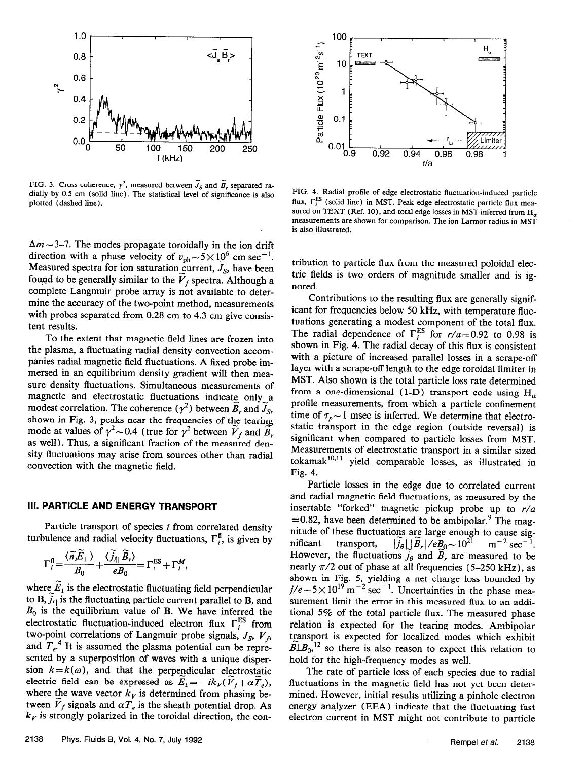

 $F = F + F$  cross constants,  $\frac{1}{2}$ , measured between  $\sigma_{\rm S}$  and  $\sigma_{\rm F}$  separated radially by 0.6 cm (solid line). The statistical level of significance is also plotted (dashed line).

 $\Delta m \sim$  3–7. The modes propagate toroidally in the ion drift direction with a phase velocity of  $v_{\text{ph}} \sim 5 \times 10^6$  cm sec<sup>-1</sup>. Measured spectra for ion saturation current,  $\widetilde{J}_S$ , have been found to be generally similar to the  $V_f$  spectra. Although a complete Langmuir probe array is not available to determine the accuracy of the two-point method, measurements with probes separated from 0.28 cm to 4.3 cm give consistent results. tent results.

To the extent that magnetic field lines are frozen into the plasma, a fluctuating radial density convection accompanies radial magnetic field fluctuations. A fixed probe immersed in an equilibrium density gradient will then measure density fluctuations. Simultaneous measurements of magnetic and electrostatic fluctuations indicate only a modest correlation. The coherence ( $\gamma^2$ ) between  $B_r$  and  $J_s$ , modest correlation. The coherence ( $\gamma$ ) between  $B_r$  and  $J_s$ ,  $\frac{1}{2}$  shown in Fig. 3, peaks near the frequencies of the tearing mode at values of  $f \sim 0.4$  (true for  $f$  between  $V_f$  and  $B_f$ as well). Thus, a significant fraction of the measured density fluctuations may arise from sources other than radial convection with the magnetic field.

# Ill. PARTICLE AND ENERGY TRANSPORT

 $\frac{P}{P}$ turbulence and radial velocity fluctuations,  $F_{ij}$ , is given by

$$
\Gamma_i^{\text{fl}} = \frac{\langle \widetilde{n}_i \widetilde{E}_1 \rangle}{B_0} + \frac{\langle \widetilde{J}_{i\parallel} \widetilde{B}_r \rangle}{eB_0} = \Gamma_i^{\text{ES}} + \Gamma_i^M,
$$

where  $\widetilde{E}_1$  is the electrostatic fluctuating field perpendicular to  $\mathbf{B}$ ,  $\widetilde{j}_{i\parallel}$  is the fluctuating particle current parallel to  $\mathbf{B}$ , and  $B_0$  is the equilibrium value of B. We have inferred the electrostatic fluctuation-induced electron flux  $\Gamma_i^{ES}$  from two-point correlations of Langmuir probe signals,  $J_S$ ,  $V_f$ two-point correlations of Langmuir probe signals,  $J_S$ ,  $V_f$ , and  $T_e$ . It is assumed the plasma potential can be represented by a superposition of waves with a unique dispersion  $k = k(\omega)$ , and that the perpendicular electrostatic electric field can be expressed as  $E_1 = -ik_V(\overline{V}_f + \alpha T_e)$ , where the wave vector  $k<sub>V</sub>$  is determined from phasing between  $V_f$  signals and  $\alpha T_e$  is the sheath potential drop. As  $k<sub>V</sub>$  is strongly polarized in the toroidal direction, the con-



FIG. 4. Radial profile of edge electrostatic fluctuation-induced particle flux,  $\Gamma_i^{\text{ES}}$  (solid line) in MST. Peak edge electrostatic particle flux measured on TEXT (Ref. 10), and total edge losses in MST inferred from  $H_{\alpha}$ measurements are shown for comparison. The ion Larmor radius in MST is also illustrated.

tribution to particle flux from the measured poloidal electric fields is two orders of magnitude smaller and is ignored.

Contributions to the resulting flux are generally significant for frequencies below 50 kHz, with temperature fluctuations generating a modest component of the total flux. The radial dependence of  $\Gamma_i^{\text{ES}}$  for  $r/a = 0.92$  to 0.98 is shown in Fig. 4. The radial decay of this flux is consistent with a picture of increased parallel losses in a scrape-off layer with a scrape-off length to the edge toroidal limiter in MST. Also shown is the total particle loss rate determined from a one-dimensional (1-D) transport code using  $H_{\alpha}$ profile measurements, from which a particle confinement time of  $\tau_p \sim 1$  msec is inferred. We determine that electrostatic transport in the edge region (outside reversal) is significant when compared to particle losses from MST. Measurements of electrostatic transport in a similar sized tokamak<sup>10,11</sup> yield comparable losses, as illustrated in Fig. 4.

Particle losses in the edge due to correlated current and radial magnetic field fluctuations, as measured by the insertable "forked" magnetic pickup probe up to  $r/a$  $=0.82$ , have been determined to be ambipolar.<sup>9</sup> The magnitude of these fluctuations are large enough to cause significant transport,  $|J_\theta| \leq |B_r|/e\frac{R_0}{2} \sim 10^{-15}$  m<sup>-2</sup> sec-However, the fluctuations  $j_{\theta}$  and  $B_r$  are measured to be nearly  $\pi/2$  out of phase at all frequencies (5-250 kHz), as shown in Fig. 5, yielding a net charge loss bounded by  $j/e \sim 5 \times 10^{-6}$  m  $\degree$  sec $\degree$ . Uncertainties in the phase measurement limit the error in this measured flux to an additional 5% of the total particle flux. The measured phase relation is expected for the tearing modes. Ambipolar transport is expected for localized modes which exhibit  $\widetilde{B}$ l. $B_0$ ,<sup>12</sup> so there is also reason to expect this relation to hold for the high-frequency modes as well.

The rate of particle loss of each species due to radial fluctuations in the magnetic field has not yet been determined. However, initial results utilizing a pinhole electron energy analyzer (EEA) indicate that the fluctuating fast electron current in MST might not contribute to particle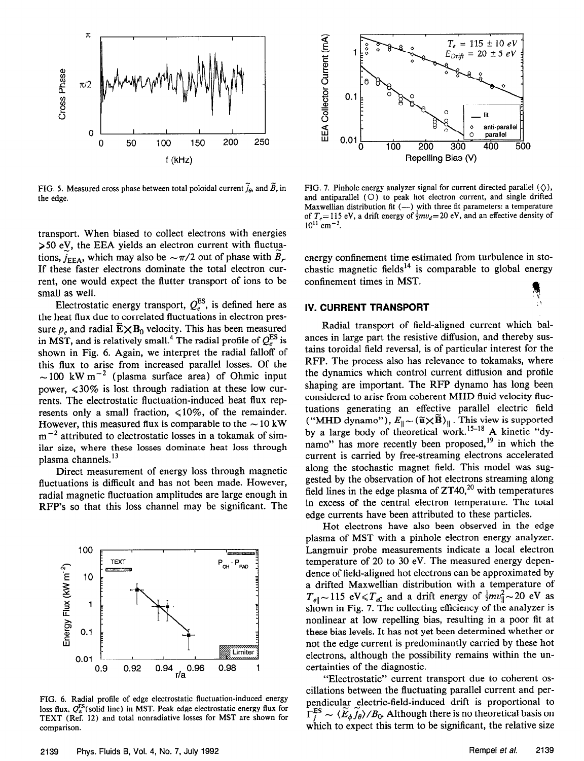

FIG. 5. Measured cross phase between total poloidal current  $\tilde{j}_\theta$ , and  $\tilde{B}_r$  in the edge.

transport. When biased to collect electrons with energies >50 eV, the EEA yields an electron current with fluctuations,  $j_{EEA}$ , which may also be  $-\pi/2$  out of phase with  $B_r$ . If these faster electrons dominate the total electron current, one would expect the flutter transport of ions to be small as well.

Electrostatic energy transport,  $Q_e^{\omega}$ , is defined here as the heat flux due to correlated fluctuations in electron pressure  $p_e$  and radial  $\widetilde{E} \times B_0$  velocity. This has been measured in MST, and is relatively small.<sup>4</sup> The radial profile of  $Q_e^{\text{ES}}$  is shown in Fig. 6. Again, we interpret the radial falloff of this flux to arise from increased parallel losses. Of the  $\sim$  100 kW m<sup>-2</sup> (plasma surface area) of Ohmic input power,  $\leq 30\%$  is lost through radiation at these low currents. The electrostatic fluctuation-induced heat flux represents only a small fraction,  $\leq 10\%$ , of the remainder. However, this measured flux is comparable to the  $\sim$  10 kW  $m^{-2}$  attributed to electrostatic losses in a tokamak of similar size, where these losses dominate heat loss through plasma channels.<sup>13</sup>

Direct measurement of energy loss through magnetic fluctuations is difficult and has not been made. However, radial magnetic fluctuation amplitudes are large enough in RFP's SO that this loss channel may be significant. The



FIG. 6. Radial profile of edge electrostatic fluctuation-induced energy loss flux,  $Q_E^{\text{ES}}$ (solid line) in MST. Peak edge electrostatic energy flux for TEXT (Ref. 12) and total nonradiative losses for MST are shown for comparison.



FIG. 7. Pinhole energy analyzer signal for current directed parallel  $(\Diamond)$ , and antiparallel  $(O)$  to peak hot electron current, and single drifted Maxwellian distribution fit  $(-)$  with three fit parameters: a temperature of  $T<sub>e</sub>=115$  eV, a drift energy of  $\frac{1}{2}mv<sub>d</sub>=20$  eV, and an effective density of  $10^{11}$  cm<sup>-3</sup>.

energy confinement time estimated from turbulence in stochastic magnetic fields<sup>14</sup> is comparable to global energy confinement times in MST.

 $\alpha$ 

## IV. CURRENT TRANSPORT

Radial transport of field-aligned current which balances in large part the resistive diffusion, and thereby sustains toroidal field reversal, is of particular interest for the RFP. The process also has relevance to tokamaks, where the dynamics which control current diffusion and profile shaping are important. The RFP dynamo has long been considered to arise from coherent MHD fluid velocity fluctuations generating an effective parallel electric field ("MHD dynamo"),  $E_{\parallel} \sim (u \times B)_{\parallel}$  . This view is supported by a large body of theoretical work.<sup>15-18</sup> A kinetic "dynamo" has more recently been proposed,<sup>19</sup> in which the current is carried by free-streaming electrons accelerated along the stochastic magnet field. This model was suggested by the observation of hot electrons streaming along field lines in the edge plasma of  $ZT40$ ,<sup>20</sup> with temperatures in excess of the central electron temperature. The total edge currents have been attributed to these particles.

Hot electrons have also been observed in the edge plasma of MST with a pinhole electron energy analyzer. Langmuir probe measurements indicate a local electron temperature of 20 to 30 eV. The measured energy dependence of field-aligned hot electrons can be approximated by a drifted Maxwellian distribution with a temperature of  $T_{e\parallel} \sim 115$  eV $\leq T_{e0}$  and a drift energy of  $\frac{1}{2}mv_{\parallel}^2 \sim 20$  eV as shown in Fig. 7. The collecting efficiency of the analyzer is nonlinear at low repelling bias, resulting in a poor fit at these bias levels. It has not yet been determined whether or not the edge current is predominantly carried by these hot electrons, although the possibility remains within the uncertainties of the diagnostic.

"Electrostatic" current transport due to coherent oscillations between the fluctuating parallel current and perpendicular electric-field-induced drift is proportional to  $\Gamma_j^{\text{ES}} \sim \langle \widetilde{E}_{\phi} \widetilde{j}_{\theta} \rangle / B_0$ . Although there is no theoretical basis on which to expect this term to be significant, the relative size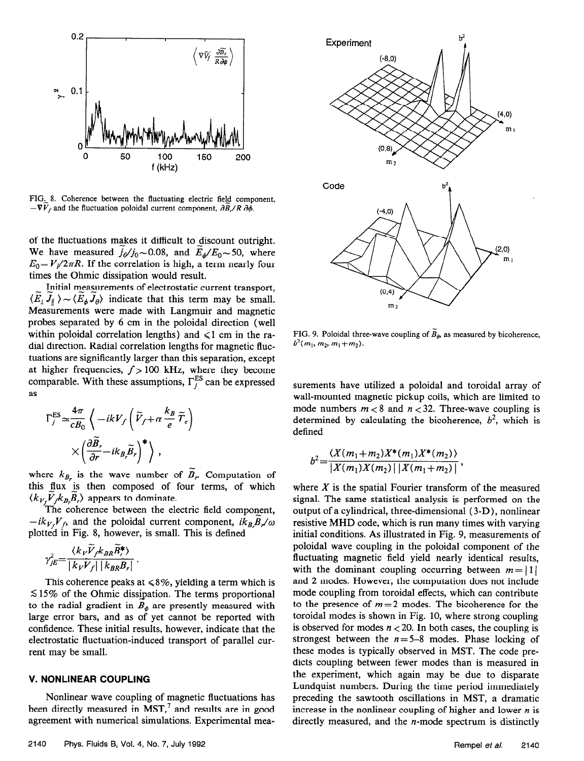

FIG, 8. Coherence between the fluctuating electric field component,  $-\nabla V_f$  and the fluctuation poloidal current component,  $\partial \vec{B}_r/R \partial \phi$ .

of the fluctuations makes it difficult to discount outright. We have measured  $j_{\phi}/j_0 \sim 0.08$ , and  $\vec{E}_{\phi}/E_0 \sim 50$ , where  $E_0 = V_l/2\pi R$ . If the correlation is high, a term nearly four times the Ohmic dissipation would result.

Initial measurements of electrostatic current transport,  $\langle E_i J_{ij} \rangle \sim \langle E_{ij} J_{ij} \rangle$  indicate that this term may be small. Measurements were made with Langmuir and magnetic probes separated by 6 cm in the poloidal direction (well within poloidal correlation lengths) and  $\leq 1$  cm in the radial direction. Radial correlation lengths for magnetic fluctuations are significantly larger than this separation, except at higher frequencies,  $f > 100$  kHz, where they become comparable. With these assumptions,  $\Gamma_i^{\text{ES}}$  can be expressed as

$$
\Gamma_j^{\text{ES}} \simeq \frac{4\pi}{cB_0} \left\langle -ikV_f \left( \widetilde{V}_f + \alpha \frac{k_B}{e} \widetilde{T}_e \right) \right\rangle
$$

$$
\times \left( \frac{\partial \widetilde{B}_z}{\partial r} - ik_B \widetilde{B}_r \right)^* \right\rangle ,
$$

where  $k_{B_r}$  is the wave number of  $\widetilde{B}_r$ . Computation of this flux is then composed of four terms, of which  $\langle k_V, V \, k_B, B_r \rangle$  appears to dominate.

The coherence between the electric field component,  $-ik_{Vf}V_{f}$  and the poloidal current component,  $ik_{B}B_{f}/\omega$ plotted in Fig. 8, however, is small. This is defined

$$
\gamma_{jE}^2 = \frac{\langle k_V \widetilde{V}_{f} k_{BR} \widetilde{B}_{r}^* \rangle}{|k_V \widetilde{V}_{f}| |k_{BR} B_{r}|}.
$$

This coherence peaks at  $\leq 8\%$ , yielding a term which is  $515\%$  of the Ohmic dissipation. The terms proportional to the radial gradient in  $\overline{B}_{\phi}$  are presently measured with large error bars, and as of yet cannot be reported with confidence. These initial results, however, indicate that the electrostatic fluctuation-induced transport of parallel current may be small.

### V. NONLINEAR COUPLING

Nonlinear wave coupling of magnetic fluctuations has been directly measured in MST, $<sup>7</sup>$  and results are in good</sup> agreement with numerical simulations. Experimental mea-



FIG. 9. Poloidal three-wave coupling of  $\widetilde{B}_{\theta}$ , as measured by bicoherence,  $b^2(m_1, m_2, m_1+m_2)$ .

surements have utilized a poloidal and toroidal array of wall-mounted magnetic pickup coils, which are limited to mode numbers  $m < 8$  and  $n < 32$ . Three-wave coupling is determined by calculating the bicoherence,  $b^2$ , which is defined

$$
b^{2}=\frac{\langle X(m_{1}+m_{2})X^{*}(m_{1})X^{*}(m_{2})\rangle}{|X(m_{1})X(m_{2})| |X(m_{1}+m_{2})|},
$$

where  $X$  is the spatial Fourier transform of the measured signal. The same statistical analysis is performed on the output of a cylindrical, three-dimensional (3-D), nonlinear resistive MHD code, which is run many times with varying initial conditions. As illustrated in Fig. 9, measurements of poloidal wave coupling in the poloidal component of the fluctuating magnetic field yield nearly identical results, with the dominant coupling occurring between  $m = |1|$ and 2 modes. However, the computation does not include mode coupling from toroidal effects, which can contribute to the presence of  $m=2$  modes. The bicoherence for the toroidal modes is shown in Fig. 10, where strong coupling is observed for modes  $n < 20$ . In both cases, the coupling is strongest between the  $n=5-8$  modes. Phase locking of these modes is typically observed in MST. The code predicts coupling between fewer modes than is measured in the experiment, which again may be due to disparate Lundquist numbers. During the time period immediately preceding the sawtooth oscillations in MST, a dramatic increase in the nonlinear coupling of higher and lower  $n$  is directly measured, and the  $n$ -mode spectrum is distinctly